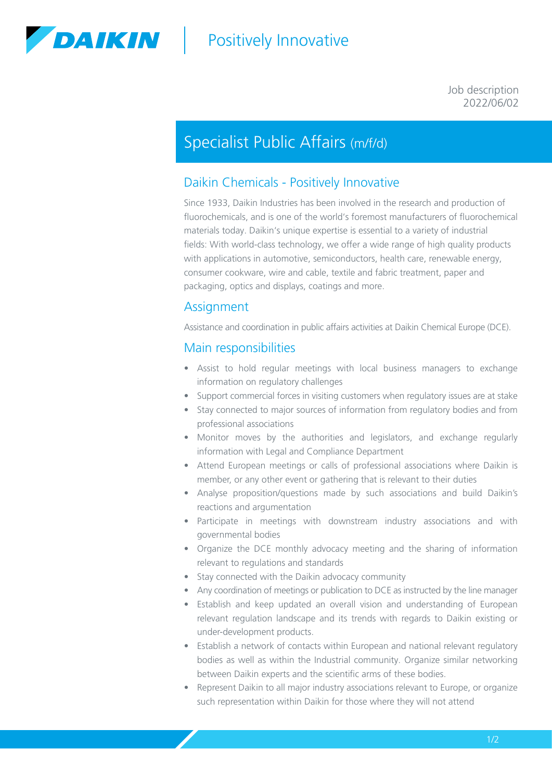

# | Positively Innovative

#### 2022/06/02 Job description

## Specialist Public Affairs (m/f/d)

### Daikin Chemicals - Positively Innovative

Since 1933, Daikin Industries has been involved in the research and production of fluorochemicals, and is one of the world's foremost manufacturers of fluorochemical materials today. Daikin's unique expertise is essential to a variety of industrial fields: With world-class technology, we offer a wide range of high quality products with applications in automotive, semiconductors, health care, renewable energy, consumer cookware, wire and cable, textile and fabric treatment, paper and packaging, optics and displays, coatings and more.

#### Assignment

Assistance and coordination in public affairs activities at Daikin Chemical Europe (DCE).

#### Main responsibilities

- Assist to hold regular meetings with local business managers to exchange information on regulatory challenges
- Support commercial forces in visiting customers when regulatory issues are at stake
- Stay connected to major sources of information from regulatory bodies and from professional associations
- Monitor moves by the authorities and legislators, and exchange regularly information with Legal and Compliance Department
- Attend European meetings or calls of professional associations where Daikin is member, or any other event or gathering that is relevant to their duties
- Analyse proposition/questions made by such associations and build Daikin's reactions and argumentation
- Participate in meetings with downstream industry associations and with governmental bodies
- Organize the DCE monthly advocacy meeting and the sharing of information relevant to regulations and standards
- Stay connected with the Daikin advocacy community
- Any coordination of meetings or publication to DCE as instructed by the line manager
- Establish and keep updated an overall vision and understanding of European relevant regulation landscape and its trends with regards to Daikin existing or under-development products.
- Establish a network of contacts within European and national relevant regulatory bodies as well as within the Industrial community. Organize similar networking between Daikin experts and the scientific arms of these bodies.
- Represent Daikin to all major industry associations relevant to Europe, or organize such representation within Daikin for those where they will not attend